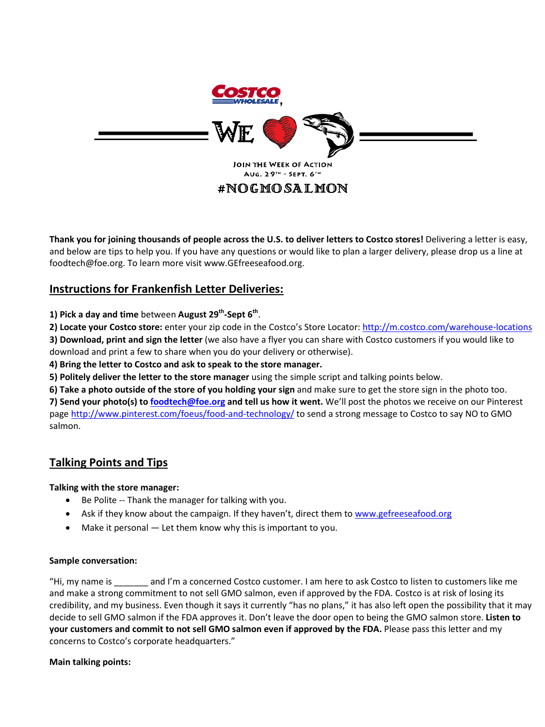

# #NOGMOSALMON

**Thank you for joining thousands of people across the U.S. to deliver letters to Costco stores!** Delivering a letter is easy, and below are tips to help you. If you have any questions or would like to plan a larger delivery, please drop us a line at foodtech@foe.org. To learn more visit www.GEfreeseafood.org.

### **Instructions for Frankenfish Letter Deliveries:**

**1) Pick a day and time** between **August 29th-Sept 6th**.

**2) Locate your Costco store:** enter your zip code in the Costco's Store Locator:<http://m.costco.com/warehouse-locations> **3) Download, print and sign the letter** (we also have a flyer you can share with Costco customers if you would like to

download and print a few to share when you do your delivery or otherwise).

**4) Bring the letter to Costco and ask to speak to the store manager.** 

**5) Politely deliver the letter to the store manager** using the simple script and talking points below.

**6) Take a photo outside of the store of you holding your sign** and make sure to get the store sign in the photo too.

**7) Send your photo(s) to [foodtech@foe.org](mailto:foodtech@foe.org) and tell us how it went.** We'll post the photos we receive on our Pinterest page<http://www.pinterest.com/foeus/food-and-technology/> to send a strong message to Costco to say NO to GMO salmon.

## **Talking Points and Tips**

**Talking with the store manager:** 

- Be Polite -- Thank the manager for talking with you.
- Ask if they know about the campaign. If they haven't, direct them t[o www.gefreeseafood.org](http://www.gefreeseafood.org/)
- Make it personal  $-$  Let them know why this is important to you.

#### **Sample conversation:**

"Hi, my name is \_\_\_\_\_\_\_ and I'm a concerned Costco customer. I am here to ask Costco to listen to customers like me and make a strong commitment to not sell GMO salmon, even if approved by the FDA. Costco is at risk of losing its credibility, and my business. Even though it says it currently "has no plans," it has also left open the possibility that it may decide to sell GMO salmon if the FDA approves it. Don't leave the door open to being the GMO salmon store. **Listen to your customers and commit to not sell GMO salmon even if approved by the FDA.** Please pass this letter and my concerns to Costco's corporate headquarters."

#### **Main talking points:**